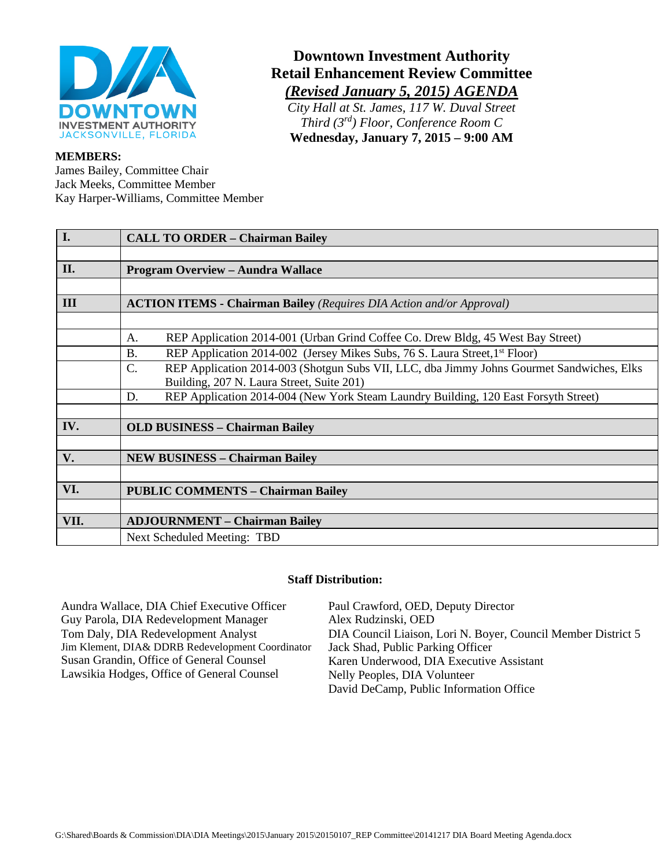

#### **MEMBERS:**

James Bailey, Committee Chair Jack Meeks, Committee Member Kay Harper-Williams, Committee Member

# **Downtown Investment Authority Retail Enhancement Review Committee** *(Revised January 5, 2015) AGENDA*

*City Hall at St. James, 117 W. Duval Street Third (3rd) Floor, Conference Room C* **Wednesday, January 7, 2015 – 9:00 AM**

| I.   | <b>CALL TO ORDER - Chairman Bailey</b>                                                                       |
|------|--------------------------------------------------------------------------------------------------------------|
|      |                                                                                                              |
| II.  | <b>Program Overview - Aundra Wallace</b>                                                                     |
|      |                                                                                                              |
| III  | <b>ACTION ITEMS - Chairman Bailey</b> (Requires DIA Action and/or Approval)                                  |
|      |                                                                                                              |
|      | REP Application 2014-001 (Urban Grind Coffee Co. Drew Bldg, 45 West Bay Street)<br>A.                        |
|      | <b>B.</b><br>REP Application 2014-002 (Jersey Mikes Subs, 76 S. Laura Street, 1 <sup>st</sup> Floor)         |
|      | $\mathcal{C}$ .<br>REP Application 2014-003 (Shotgun Subs VII, LLC, dba Jimmy Johns Gourmet Sandwiches, Elks |
|      | Building, 207 N. Laura Street, Suite 201)                                                                    |
|      | REP Application 2014-004 (New York Steam Laundry Building, 120 East Forsyth Street)<br>D.                    |
|      |                                                                                                              |
| IV.  | <b>OLD BUSINESS - Chairman Bailey</b>                                                                        |
|      |                                                                                                              |
| V.   | <b>NEW BUSINESS - Chairman Bailey</b>                                                                        |
|      |                                                                                                              |
| VI.  | <b>PUBLIC COMMENTS - Chairman Bailey</b>                                                                     |
|      |                                                                                                              |
| VII. | <b>ADJOURNMENT - Chairman Bailey</b>                                                                         |
|      | Next Scheduled Meeting: TBD                                                                                  |
|      |                                                                                                              |

#### **Staff Distribution:**

Aundra Wallace, DIA Chief Executive Officer Guy Parola, DIA Redevelopment Manager Tom Daly, DIA Redevelopment Analyst Jim Klement, DIA& DDRB Redevelopment Coordinator Susan Grandin, Office of General Counsel Lawsikia Hodges, Office of General Counsel

Paul Crawford, OED, Deputy Director Alex Rudzinski, OED DIA Council Liaison, Lori N. Boyer, Council Member District 5 Jack Shad, Public Parking Officer Karen Underwood, DIA Executive Assistant Nelly Peoples, DIA Volunteer David DeCamp, Public Information Office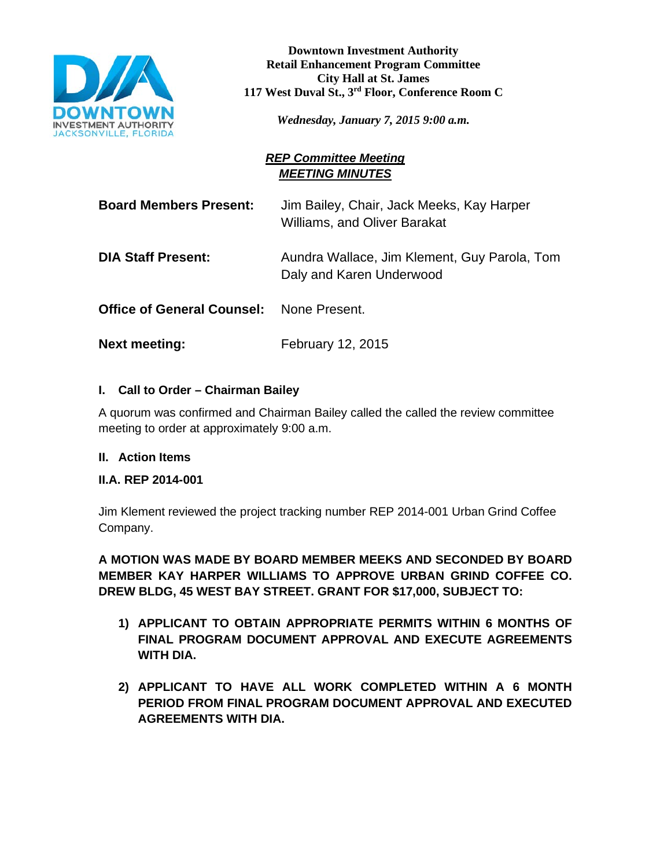

**Downtown Investment Authority Retail Enhancement Program Committee City Hall at St. James 117 West Duval St., 3rd Floor, Conference Room C**

*Wednesday, January 7, 2015 9:00 a.m.*

## *REP Committee Meeting MEETING MINUTES*

**Board Members Present:** Jim Bailey, Chair, Jack Meeks, Kay Harper Williams, and Oliver Barakat

**DIA Staff Present:** Aundra Wallace, Jim Klement, Guy Parola, Tom Daly and Karen Underwood

**Office of General Counsel:** None Present.

**Next meeting:** February 12, 2015

### **I. Call to Order – Chairman Bailey**

A quorum was confirmed and Chairman Bailey called the called the review committee meeting to order at approximately 9:00 a.m.

### **II. Action Items**

### **II.A. REP 2014-001**

Jim Klement reviewed the project tracking number REP 2014-001 Urban Grind Coffee Company.

**A MOTION WAS MADE BY BOARD MEMBER MEEKS AND SECONDED BY BOARD MEMBER KAY HARPER WILLIAMS TO APPROVE URBAN GRIND COFFEE CO. DREW BLDG, 45 WEST BAY STREET. GRANT FOR \$17,000, SUBJECT TO:**

- **1) APPLICANT TO OBTAIN APPROPRIATE PERMITS WITHIN 6 MONTHS OF FINAL PROGRAM DOCUMENT APPROVAL AND EXECUTE AGREEMENTS WITH DIA.**
- **2) APPLICANT TO HAVE ALL WORK COMPLETED WITHIN A 6 MONTH PERIOD FROM FINAL PROGRAM DOCUMENT APPROVAL AND EXECUTED AGREEMENTS WITH DIA.**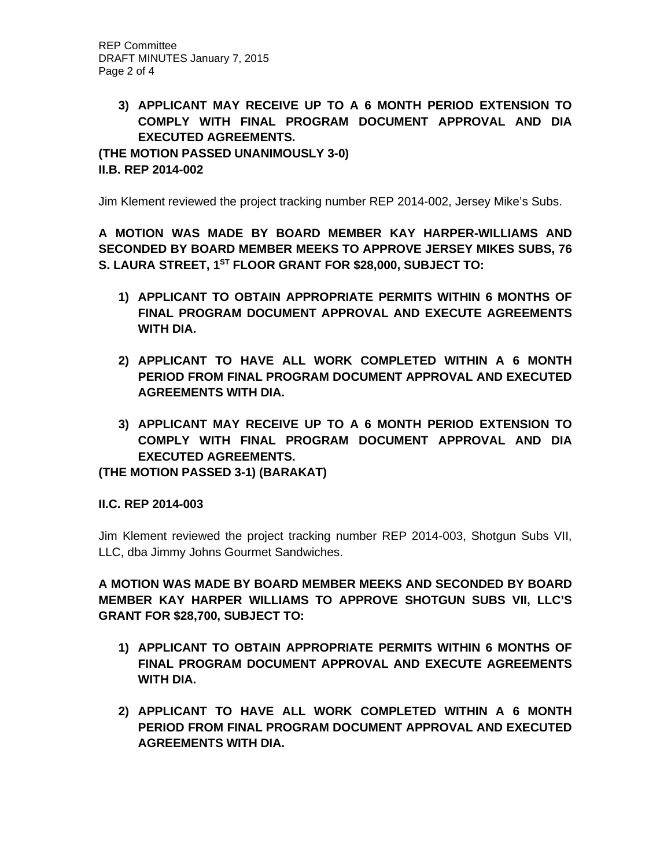## **3) APPLICANT MAY RECEIVE UP TO A 6 MONTH PERIOD EXTENSION TO COMPLY WITH FINAL PROGRAM DOCUMENT APPROVAL AND DIA EXECUTED AGREEMENTS.**

**(THE MOTION PASSED UNANIMOUSLY 3-0) II.B. REP 2014-002**

Jim Klement reviewed the project tracking number REP 2014-002, Jersey Mike's Subs.

**A MOTION WAS MADE BY BOARD MEMBER KAY HARPER-WILLIAMS AND SECONDED BY BOARD MEMBER MEEKS TO APPROVE JERSEY MIKES SUBS, 76 S. LAURA STREET, 1ST FLOOR GRANT FOR \$28,000, SUBJECT TO:**

- **1) APPLICANT TO OBTAIN APPROPRIATE PERMITS WITHIN 6 MONTHS OF FINAL PROGRAM DOCUMENT APPROVAL AND EXECUTE AGREEMENTS WITH DIA.**
- **2) APPLICANT TO HAVE ALL WORK COMPLETED WITHIN A 6 MONTH PERIOD FROM FINAL PROGRAM DOCUMENT APPROVAL AND EXECUTED AGREEMENTS WITH DIA.**
- **3) APPLICANT MAY RECEIVE UP TO A 6 MONTH PERIOD EXTENSION TO COMPLY WITH FINAL PROGRAM DOCUMENT APPROVAL AND DIA EXECUTED AGREEMENTS.**

**(THE MOTION PASSED 3-1) (BARAKAT)**

**II.C. REP 2014-003**

Jim Klement reviewed the project tracking number REP 2014-003, Shotgun Subs VII, LLC, dba Jimmy Johns Gourmet Sandwiches.

**A MOTION WAS MADE BY BOARD MEMBER MEEKS AND SECONDED BY BOARD MEMBER KAY HARPER WILLIAMS TO APPROVE SHOTGUN SUBS VII, LLC'S GRANT FOR \$28,700, SUBJECT TO:**

- **1) APPLICANT TO OBTAIN APPROPRIATE PERMITS WITHIN 6 MONTHS OF FINAL PROGRAM DOCUMENT APPROVAL AND EXECUTE AGREEMENTS WITH DIA.**
- **2) APPLICANT TO HAVE ALL WORK COMPLETED WITHIN A 6 MONTH PERIOD FROM FINAL PROGRAM DOCUMENT APPROVAL AND EXECUTED AGREEMENTS WITH DIA.**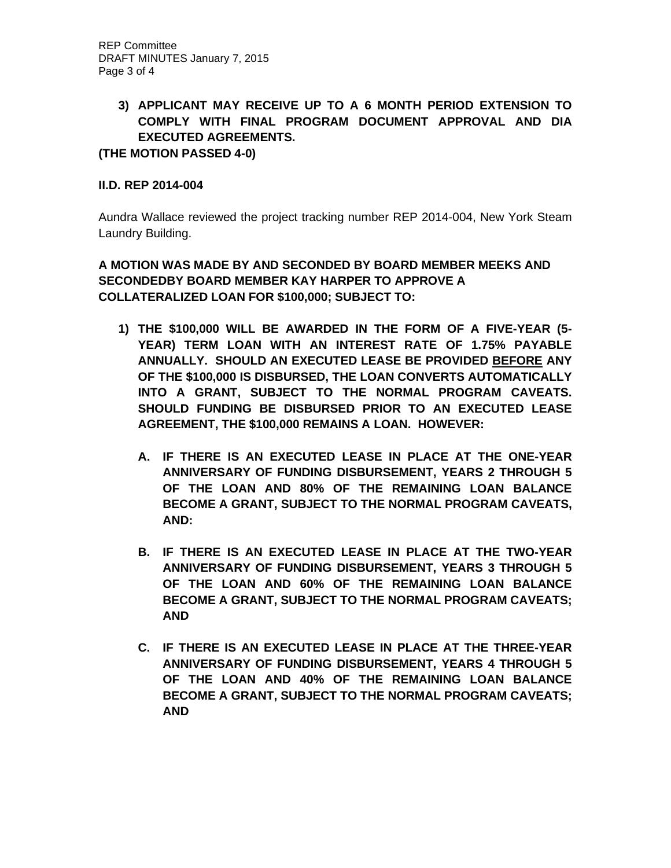## **3) APPLICANT MAY RECEIVE UP TO A 6 MONTH PERIOD EXTENSION TO COMPLY WITH FINAL PROGRAM DOCUMENT APPROVAL AND DIA EXECUTED AGREEMENTS.**

**(THE MOTION PASSED 4-0)** 

### **II.D. REP 2014-004**

Aundra Wallace reviewed the project tracking number REP 2014-004, New York Steam Laundry Building.

**A MOTION WAS MADE BY AND SECONDED BY BOARD MEMBER MEEKS AND SECONDEDBY BOARD MEMBER KAY HARPER TO APPROVE A COLLATERALIZED LOAN FOR \$100,000; SUBJECT TO:**

- **1) THE \$100,000 WILL BE AWARDED IN THE FORM OF A FIVE-YEAR (5- YEAR) TERM LOAN WITH AN INTEREST RATE OF 1.75% PAYABLE ANNUALLY. SHOULD AN EXECUTED LEASE BE PROVIDED BEFORE ANY OF THE \$100,000 IS DISBURSED, THE LOAN CONVERTS AUTOMATICALLY INTO A GRANT, SUBJECT TO THE NORMAL PROGRAM CAVEATS. SHOULD FUNDING BE DISBURSED PRIOR TO AN EXECUTED LEASE AGREEMENT, THE \$100,000 REMAINS A LOAN. HOWEVER:**
	- **A. IF THERE IS AN EXECUTED LEASE IN PLACE AT THE ONE-YEAR ANNIVERSARY OF FUNDING DISBURSEMENT, YEARS 2 THROUGH 5 OF THE LOAN AND 80% OF THE REMAINING LOAN BALANCE BECOME A GRANT, SUBJECT TO THE NORMAL PROGRAM CAVEATS, AND:**
	- **B. IF THERE IS AN EXECUTED LEASE IN PLACE AT THE TWO-YEAR ANNIVERSARY OF FUNDING DISBURSEMENT, YEARS 3 THROUGH 5 OF THE LOAN AND 60% OF THE REMAINING LOAN BALANCE BECOME A GRANT, SUBJECT TO THE NORMAL PROGRAM CAVEATS; AND**
	- **C. IF THERE IS AN EXECUTED LEASE IN PLACE AT THE THREE-YEAR ANNIVERSARY OF FUNDING DISBURSEMENT, YEARS 4 THROUGH 5 OF THE LOAN AND 40% OF THE REMAINING LOAN BALANCE BECOME A GRANT, SUBJECT TO THE NORMAL PROGRAM CAVEATS; AND**